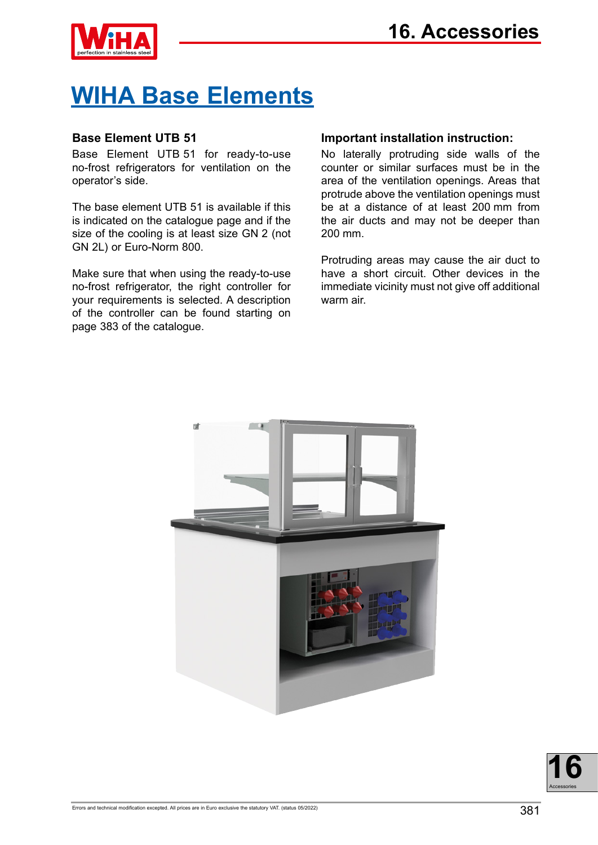

# **WIHA Base Elements**

## **Base Element UTB 51**

Base Element UTB 51 for ready-to-use no-frost refrigerators for ventilation on the operator's side.

The base element UTB 51 is available if this is indicated on the catalogue page and if the size of the cooling is at least size GN 2 (not GN 2L) or Euro-Norm 800.

Make sure that when using the ready-to-use no-frost refrigerator, the right controller for your requirements is selected. A description of the controller can be found starting on page 383 of the catalogue.

## **Important installation instruction:**

No laterally protruding side walls of the counter or similar surfaces must be in the area of the ventilation openings. Areas that protrude above the ventilation openings must be at a distance of at least 200 mm from the air ducts and may not be deeper than 200 mm.

Protruding areas may cause the air duct to have a short circuit. Other devices in the immediate vicinity must not give off additional warm air.